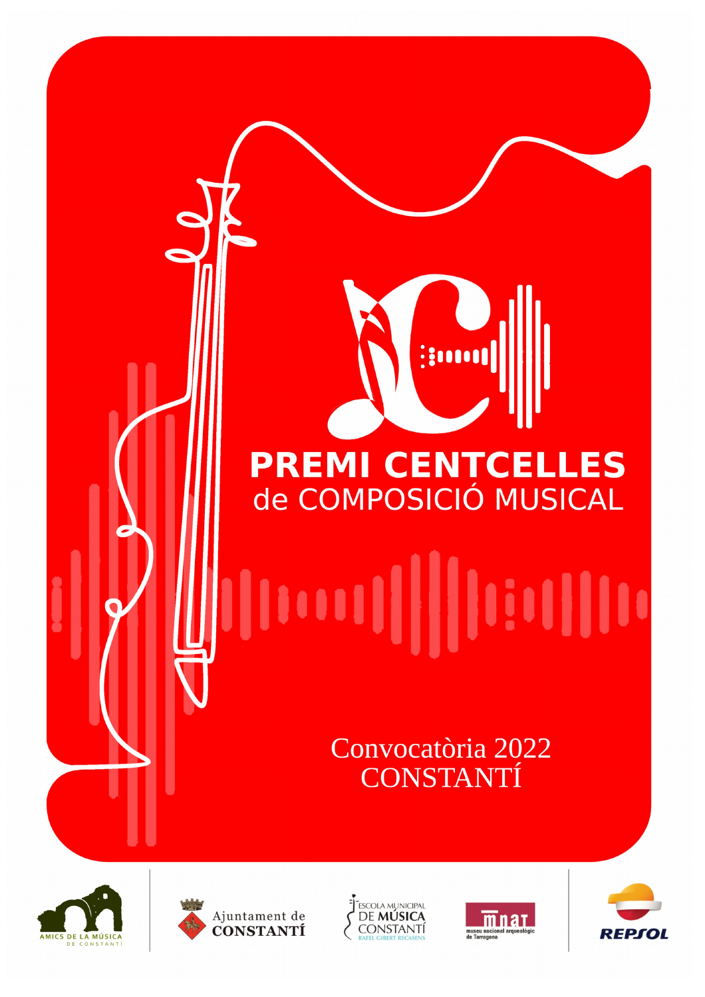# **PREMI CENTCELLES** de COMPOSICIÓ MUSICAL

**Autoris** 

# 

Convocatòria 2022 **CONSTANTÍ** 









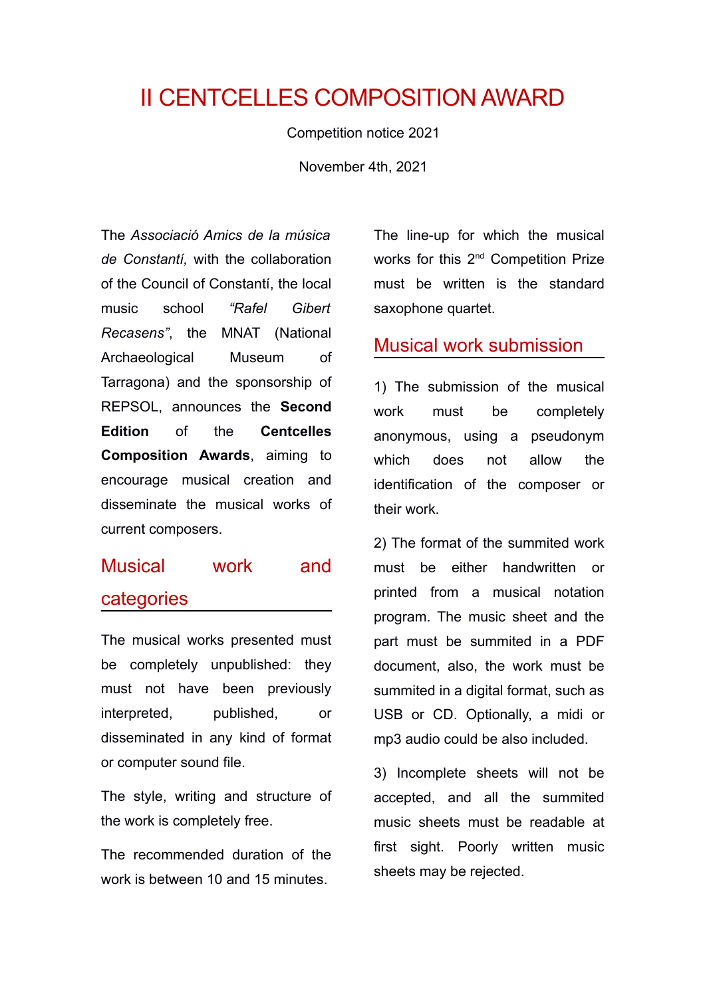# II CENTCELLES COMPOSITION AWARD

Competition notice 2021

November 4th, 2021

The *Associació Amics de la música de Constantí,* with the collaboration of the Council of Constantí, the local music school *"Rafel Gibert Recasens"*, the MNAT (National Archaeological Museum of Tarragona) and the sponsorship of REPSOL, announces the **Second Edition** of the **Centcelles Composition Awards**, aiming to encourage musical creation and disseminate the musical works of current composers.

## Musical work and categories

The musical works presented must be completely unpublished: they must not have been previously interpreted, published, or disseminated in any kind of format or computer sound file.

The style, writing and structure of the work is completely free.

The recommended duration of the work is between 10 and 15 minutes

The line-up for which the musical works for this 2<sup>nd</sup> Competition Prize must be written is the standard saxophone quartet.

#### Musical work submission

1) The submission of the musical work must be completely anonymous, using a pseudonym which does not allow the identification of the composer or their work.

2) The format of the summited work must be either handwritten or printed from a musical notation program. The music sheet and the part must be summited in a PDF document, also, the work must be summited in a digital format, such as USB or CD. Optionally, a midi or mp3 audio could be also included.

3) Incomplete sheets will not be accepted, and all the summited music sheets must be readable at first sight. Poorly written music sheets may be rejected.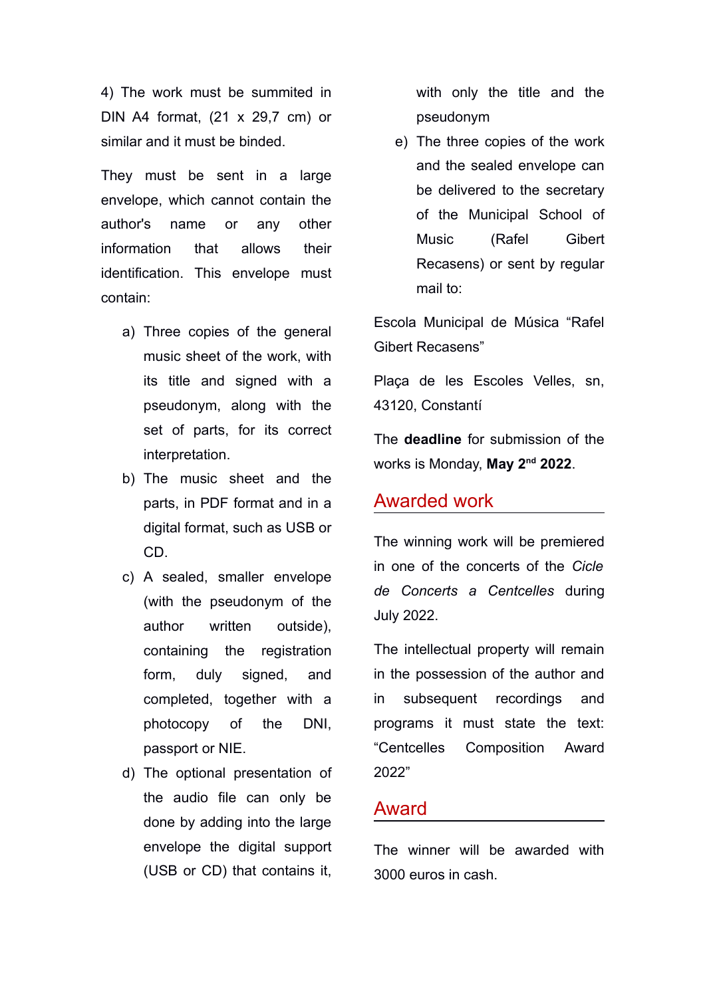4) The work must be summited in DIN A4 format, (21 x 29,7 cm) or similar and it must be binded.

They must be sent in a large envelope, which cannot contain the author's name or any other information that allows their identification. This envelope must contain:

- a) Three copies of the general music sheet of the work, with its title and signed with a pseudonym, along with the set of parts, for its correct interpretation.
- b) The music sheet and the parts, in PDF format and in a digital format, such as USB or CD.
- c) A sealed, smaller envelope (with the pseudonym of the author written outside), containing the registration form, duly signed, and completed, together with a photocopy of the DNI, passport or NIE.
- d) The optional presentation of the audio file can only be done by adding into the large envelope the digital support (USB or CD) that contains it,

with only the title and the pseudonym

e) The three copies of the work and the sealed envelope can be delivered to the secretary of the Municipal School of Music (Rafel Gibert Recasens) or sent by regular mail to:

Escola Municipal de Música "Rafel Gibert Recasens"

Plaça de les Escoles Velles, sn, 43120, Constantí

The **deadline** for submission of the works is Monday, **May 2nd 2022**.

#### Awarded work

The winning work will be premiered in one of the concerts of the *Cicle de Concerts a Centcelles* during July 2022.

The intellectual property will remain in the possession of the author and in subsequent recordings and programs it must state the text: "Centcelles Composition Award 2022"

#### Award

The winner will be awarded with 3000 euros in cash.